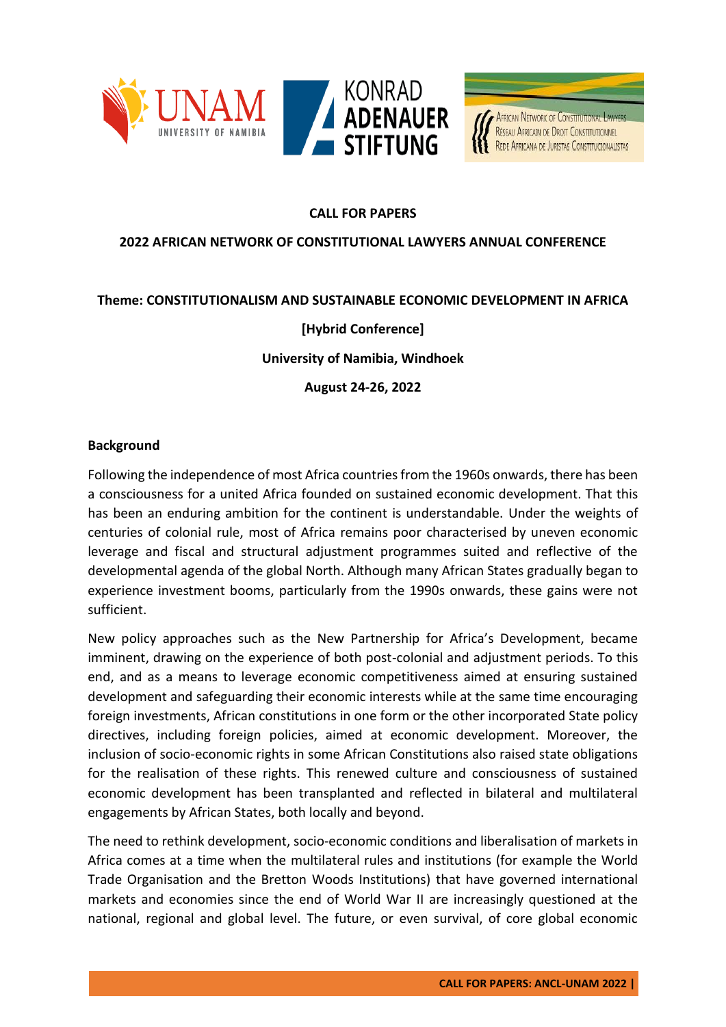



# **CALL FOR PAPERS**

### **2022 AFRICAN NETWORK OF CONSTITUTIONAL LAWYERS ANNUAL CONFERENCE**

### **Theme: CONSTITUTIONALISM AND SUSTAINABLE ECONOMIC DEVELOPMENT IN AFRICA**

## **[Hybrid Conference]**

**University of Namibia, Windhoek**

**August 24-26, 2022**

#### **Background**

Following the independence of most Africa countries from the 1960s onwards, there has been a consciousness for a united Africa founded on sustained economic development. That this has been an enduring ambition for the continent is understandable. Under the weights of centuries of colonial rule, most of Africa remains poor characterised by uneven economic leverage and fiscal and structural adjustment programmes suited and reflective of the developmental agenda of the global North. Although many African States gradually began to experience investment booms, particularly from the 1990s onwards, these gains were not sufficient.

New policy approaches such as the New Partnership for Africa's Development, became imminent, drawing on the experience of both post-colonial and adjustment periods. To this end, and as a means to leverage economic competitiveness aimed at ensuring sustained development and safeguarding their economic interests while at the same time encouraging foreign investments, African constitutions in one form or the other incorporated State policy directives, including foreign policies, aimed at economic development. Moreover, the inclusion of socio-economic rights in some African Constitutions also raised state obligations for the realisation of these rights. This renewed culture and consciousness of sustained economic development has been transplanted and reflected in bilateral and multilateral engagements by African States, both locally and beyond.

The need to rethink development, socio-economic conditions and liberalisation of markets in Africa comes at a time when the multilateral rules and institutions (for example the World Trade Organisation and the Bretton Woods Institutions) that have governed international markets and economies since the end of World War II are increasingly questioned at the national, regional and global level. The future, or even survival, of core global economic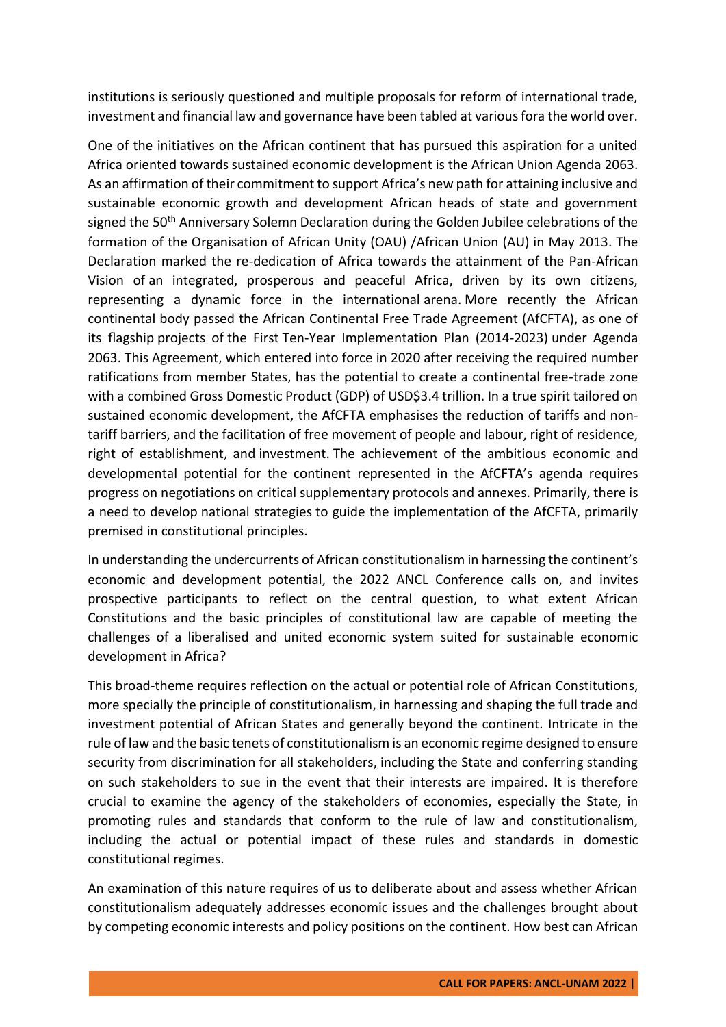institutions is seriously questioned and multiple proposals for reform of international trade, investment and financial law and governance have been tabled at various fora the world over.

One of the initiatives on the African continent that has pursued this aspiration for a united Africa oriented towards sustained economic development is the African Union Agenda 2063. As an affirmation of their commitment to support Africa's new path for attaining inclusive and sustainable economic growth and development African heads of state and government signed the 50<sup>th</sup> [Anniversary Solemn Declaration](https://au.int/documents/20130613/50th-anniversary-solemn-declaration-2013) during the Golden Jubilee celebrations of the formation of the Organisation of African Unity (OAU) /African Union (AU) in May 2013. The Declaration marked the re-dedication of Africa towards the attainment of the Pan-African Vision of an integrated, prosperous and peaceful Africa, driven by its own citizens, representing a dynamic force in the international arena. More recently the African continental body passed the African Continental Free Trade Agreement (AfCFTA), as one of its flagship projects of the First Ten-Year Implementation Plan (2014-2023) under Agenda 2063. This Agreement, which entered into force in 2020 after receiving the required number ratifications from member States, has the potential to create a continental free-trade zone with a combined Gross Domestic Product (GDP) of USD\$3.4 trillion. In a true spirit tailored on sustained economic development, the AfCFTA emphasises the reduction of tariffs and nontariff barriers, and the facilitation of free movement of people and labour, right of residence, right of establishment, and investment. The achievement of the ambitious economic and developmental potential for the continent represented in the AfCFTA's agenda requires progress on negotiations on critical supplementary protocols and annexes. Primarily, there is a need to develop national strategies to guide the implementation of the AfCFTA, primarily premised in constitutional principles.

In understanding the undercurrents of African constitutionalism in harnessing the continent's economic and development potential, the 2022 ANCL Conference calls on, and invites prospective participants to reflect on the central question, to what extent African Constitutions and the basic principles of constitutional law are capable of meeting the challenges of a liberalised and united economic system suited for sustainable economic development in Africa?

This broad-theme requires reflection on the actual or potential role of African Constitutions, more specially the principle of constitutionalism, in harnessing and shaping the full trade and investment potential of African States and generally beyond the continent. Intricate in the rule of law and the basic tenets of constitutionalism is an economic regime designed to ensure security from discrimination for all stakeholders, including the State and conferring standing on such stakeholders to sue in the event that their interests are impaired. It is therefore crucial to examine the agency of the stakeholders of economies, especially the State, in promoting rules and standards that conform to the rule of law and constitutionalism, including the actual or potential impact of these rules and standards in domestic constitutional regimes.

An examination of this nature requires of us to deliberate about and assess whether African constitutionalism adequately addresses economic issues and the challenges brought about by competing economic interests and policy positions on the continent. How best can African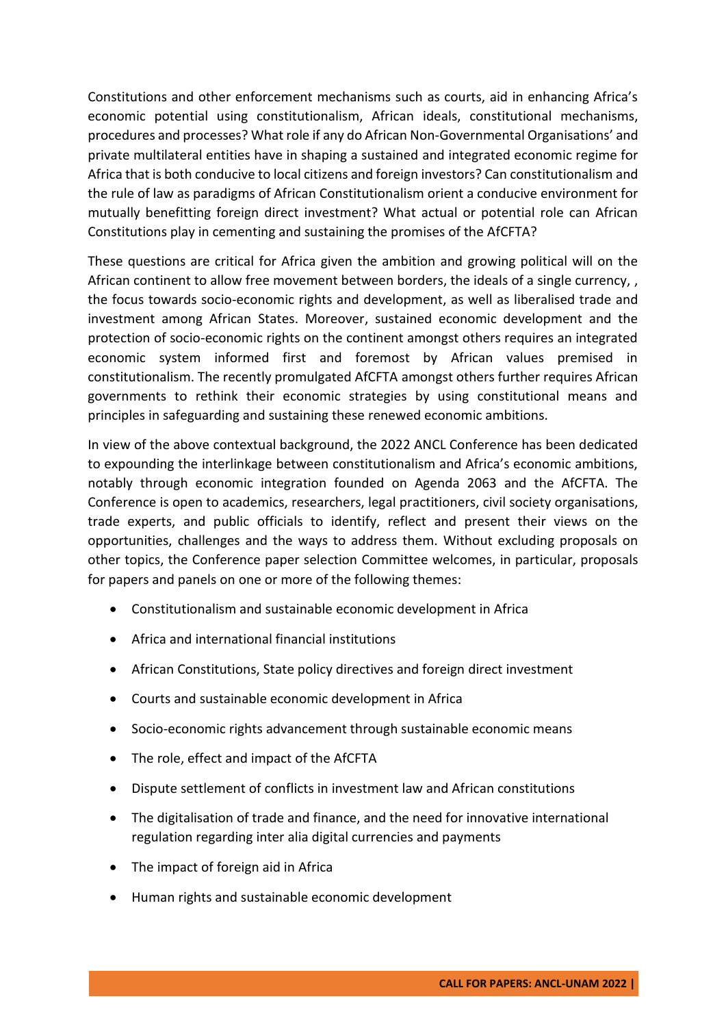Constitutions and other enforcement mechanisms such as courts, aid in enhancing Africa's economic potential using constitutionalism, African ideals, constitutional mechanisms, procedures and processes? What role if any do African Non-Governmental Organisations' and private multilateral entities have in shaping a sustained and integrated economic regime for Africa that is both conducive to local citizens and foreign investors? Can constitutionalism and the rule of law as paradigms of African Constitutionalism orient a conducive environment for mutually benefitting foreign direct investment? What actual or potential role can African Constitutions play in cementing and sustaining the promises of the AfCFTA?

These questions are critical for Africa given the ambition and growing political will on the African continent to allow free movement between borders, the ideals of a single currency, , the focus towards socio-economic rights and development, as well as liberalised trade and investment among African States. Moreover, sustained economic development and the protection of socio-economic rights on the continent amongst others requires an integrated economic system informed first and foremost by African values premised in constitutionalism. The recently promulgated AfCFTA amongst others further requires African governments to rethink their economic strategies by using constitutional means and principles in safeguarding and sustaining these renewed economic ambitions.

In view of the above contextual background, the 2022 ANCL Conference has been dedicated to expounding the interlinkage between constitutionalism and Africa's economic ambitions, notably through economic integration founded on Agenda 2063 and the AfCFTA. The Conference is open to academics, researchers, legal practitioners, civil society organisations, trade experts, and public officials to identify, reflect and present their views on the opportunities, challenges and the ways to address them. Without excluding proposals on other topics, the Conference paper selection Committee welcomes, in particular, proposals for papers and panels on one or more of the following themes:

- Constitutionalism and sustainable economic development in Africa
- Africa and international financial institutions
- African Constitutions, State policy directives and foreign direct investment
- Courts and sustainable economic development in Africa
- Socio-economic rights advancement through sustainable economic means
- The role, effect and impact of the AfCFTA
- Dispute settlement of conflicts in investment law and African constitutions
- The digitalisation of trade and finance, and the need for innovative international regulation regarding inter alia digital currencies and payments
- The impact of foreign aid in Africa
- Human rights and sustainable economic development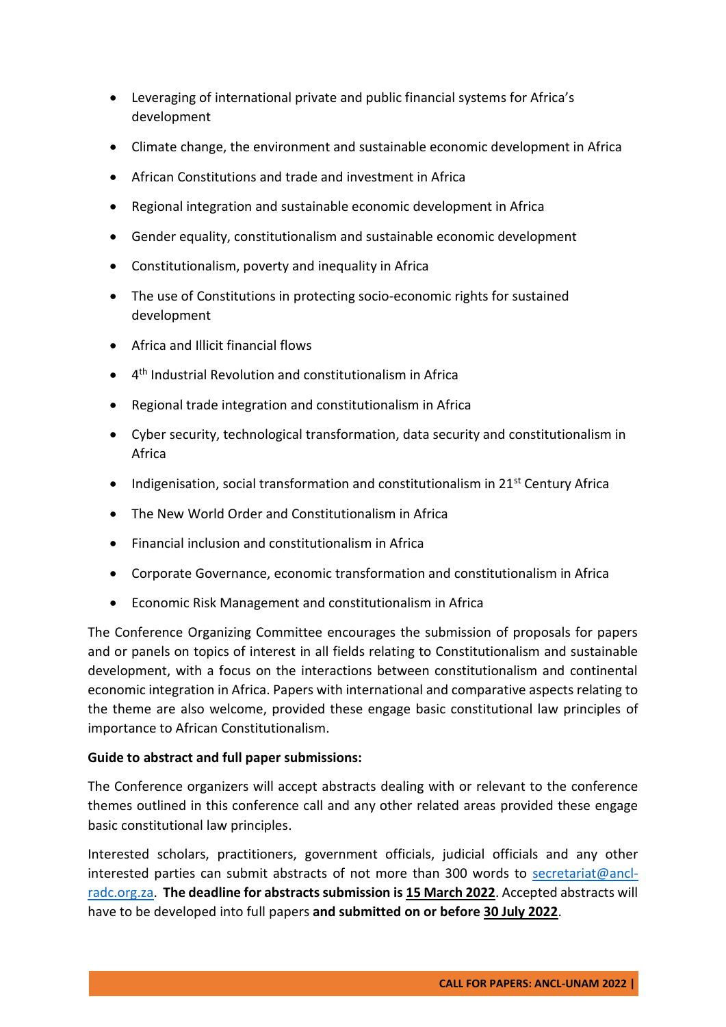- Leveraging of international private and public financial systems for Africa's development
- Climate change, the environment and sustainable economic development in Africa
- African Constitutions and trade and investment in Africa
- Regional integration and sustainable economic development in Africa
- Gender equality, constitutionalism and sustainable economic development
- Constitutionalism, poverty and inequality in Africa
- The use of Constitutions in protecting socio-economic rights for sustained development
- Africa and Illicit financial flows
- 4 th Industrial Revolution and constitutionalism in Africa
- Regional trade integration and constitutionalism in Africa
- Cyber security, technological transformation, data security and constitutionalism in Africa
- Indigenisation, social transformation and constitutionalism in 21<sup>st</sup> Century Africa
- The New World Order and Constitutionalism in Africa
- Financial inclusion and constitutionalism in Africa
- Corporate Governance, economic transformation and constitutionalism in Africa
- Economic Risk Management and constitutionalism in Africa

The Conference Organizing Committee encourages the submission of proposals for papers and or panels on topics of interest in all fields relating to Constitutionalism and sustainable development, with a focus on the interactions between constitutionalism and continental economic integration in Africa. Papers with international and comparative aspects relating to the theme are also welcome, provided these engage basic constitutional law principles of importance to African Constitutionalism.

# **Guide to abstract and full paper submissions:**

The Conference organizers will accept abstracts dealing with or relevant to the conference themes outlined in this conference call and any other related areas provided these engage basic constitutional law principles.

Interested scholars, practitioners, government officials, judicial officials and any other interested parties can submit abstracts of not more than 300 words to [secretariat@ancl](mailto:secretariat@ancl-radc.org.za)[radc.org.za.](mailto:secretariat@ancl-radc.org.za) **The deadline for abstracts submission is 15 March 2022**. Accepted abstracts will have to be developed into full papers **and submitted on or before 30 July 2022**.